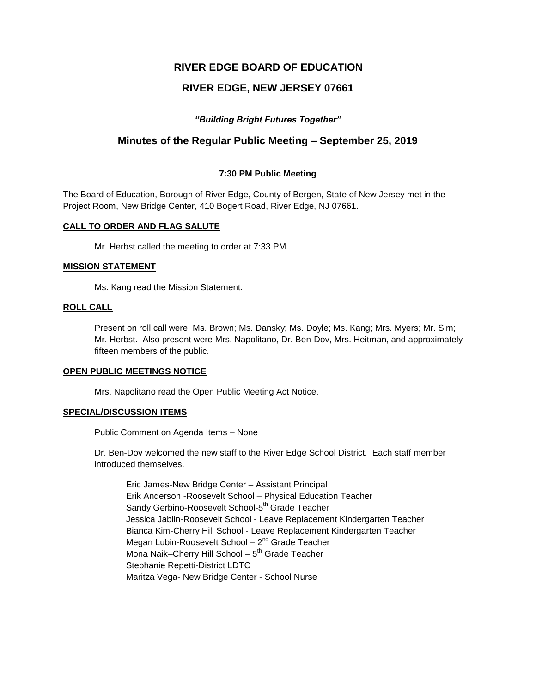# **RIVER EDGE BOARD OF EDUCATION**

# **RIVER EDGE, NEW JERSEY 07661**

# *"Building Bright Futures Together"*

# **Minutes of the Regular Public Meeting – September 25, 2019**

### **7:30 PM Public Meeting**

The Board of Education, Borough of River Edge, County of Bergen, State of New Jersey met in the Project Room, New Bridge Center, 410 Bogert Road, River Edge, NJ 07661.

### **CALL TO ORDER AND FLAG SALUTE**

Mr. Herbst called the meeting to order at 7:33 PM.

#### **MISSION STATEMENT**

Ms. Kang read the Mission Statement.

#### **ROLL CALL**

Present on roll call were; Ms. Brown; Ms. Dansky; Ms. Doyle; Ms. Kang; Mrs. Myers; Mr. Sim; Mr. Herbst. Also present were Mrs. Napolitano, Dr. Ben-Dov, Mrs. Heitman, and approximately fifteen members of the public.

#### **OPEN PUBLIC MEETINGS NOTICE**

Mrs. Napolitano read the Open Public Meeting Act Notice.

#### **SPECIAL/DISCUSSION ITEMS**

Public Comment on Agenda Items – None

Dr. Ben-Dov welcomed the new staff to the River Edge School District. Each staff member introduced themselves.

Eric James-New Bridge Center – Assistant Principal Erik Anderson -Roosevelt School – Physical Education Teacher Sandy Gerbino-Roosevelt School-5<sup>th</sup> Grade Teacher Jessica Jablin-Roosevelt School - Leave Replacement Kindergarten Teacher Bianca Kim-Cherry Hill School - Leave Replacement Kindergarten Teacher Megan Lubin-Roosevelt School – 2<sup>nd</sup> Grade Teacher Mona Naik–Cherry Hill School – 5<sup>th</sup> Grade Teacher Stephanie Repetti-District LDTC Maritza Vega- New Bridge Center - School Nurse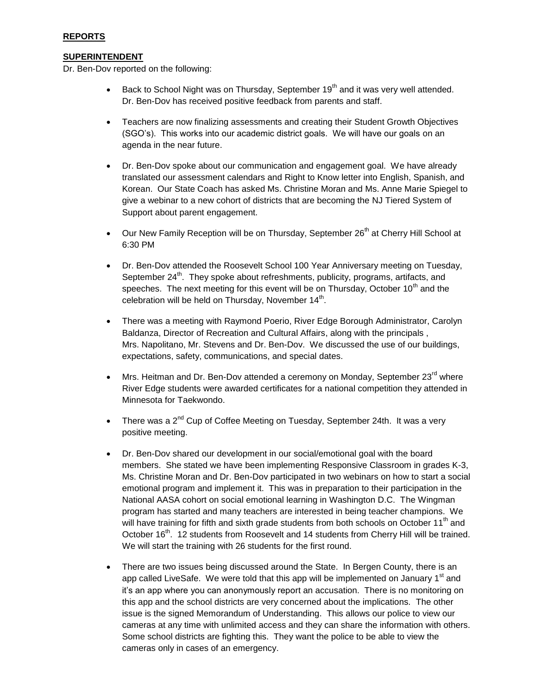### **SUPERINTENDENT**

Dr. Ben-Dov reported on the following:

- Back to School Night was on Thursday, September 19<sup>th</sup> and it was very well attended. Dr. Ben-Dov has received positive feedback from parents and staff.
- Teachers are now finalizing assessments and creating their Student Growth Objectives (SGO's). This works into our academic district goals. We will have our goals on an agenda in the near future.
- Dr. Ben-Dov spoke about our communication and engagement goal. We have already translated our assessment calendars and Right to Know letter into English, Spanish, and Korean. Our State Coach has asked Ms. Christine Moran and Ms. Anne Marie Spiegel to give a webinar to a new cohort of districts that are becoming the NJ Tiered System of Support about parent engagement.
- $\bullet$  Our New Family Reception will be on Thursday, September 26<sup>th</sup> at Cherry Hill School at 6:30 PM
- Dr. Ben-Dov attended the Roosevelt School 100 Year Anniversary meeting on Tuesday, September 24<sup>th</sup>. They spoke about refreshments, publicity, programs, artifacts, and speeches. The next meeting for this event will be on Thursday, October  $10<sup>th</sup>$  and the celebration will be held on Thursday, November 14<sup>th</sup>.
- There was a meeting with Raymond Poerio, River Edge Borough Administrator, Carolyn Baldanza, Director of Recreation and Cultural Affairs, along with the principals , Mrs. Napolitano, Mr. Stevens and Dr. Ben-Dov. We discussed the use of our buildings, expectations, safety, communications, and special dates.
- Mrs. Heitman and Dr. Ben-Dov attended a ceremony on Monday, September 23<sup>rd</sup> where River Edge students were awarded certificates for a national competition they attended in Minnesota for Taekwondo.
- There was a  $2^{nd}$  Cup of Coffee Meeting on Tuesday, September 24th. It was a very positive meeting.
- Dr. Ben-Dov shared our development in our social/emotional goal with the board members. She stated we have been implementing Responsive Classroom in grades K-3, Ms. Christine Moran and Dr. Ben-Dov participated in two webinars on how to start a social emotional program and implement it. This was in preparation to their participation in the National AASA cohort on social emotional learning in Washington D.C. The Wingman program has started and many teachers are interested in being teacher champions. We will have training for fifth and sixth grade students from both schools on October 11<sup>th</sup> and October 16<sup>th</sup>. 12 students from Roosevelt and 14 students from Cherry Hill will be trained. We will start the training with 26 students for the first round.
- There are two issues being discussed around the State. In Bergen County, there is an app called LiveSafe. We were told that this app will be implemented on January  $1<sup>st</sup>$  and it's an app where you can anonymously report an accusation. There is no monitoring on this app and the school districts are very concerned about the implications. The other issue is the signed Memorandum of Understanding. This allows our police to view our cameras at any time with unlimited access and they can share the information with others. Some school districts are fighting this. They want the police to be able to view the cameras only in cases of an emergency.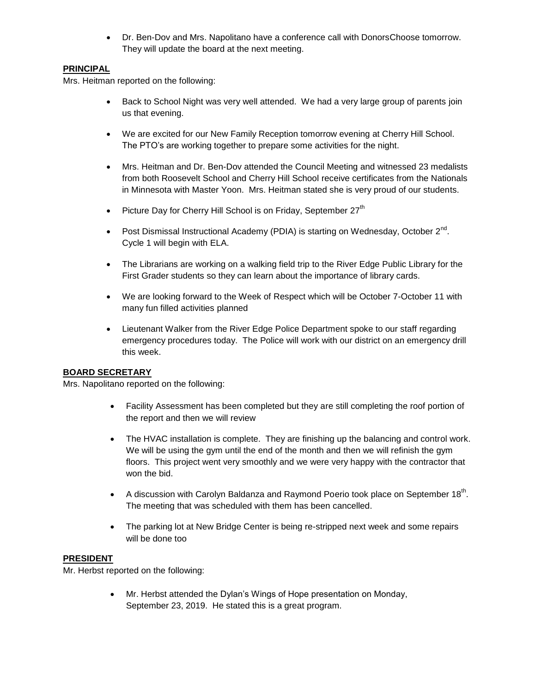Dr. Ben-Dov and Mrs. Napolitano have a conference call with DonorsChoose tomorrow. They will update the board at the next meeting.

# **PRINCIPAL**

Mrs. Heitman reported on the following:

- Back to School Night was very well attended. We had a very large group of parents join us that evening.
- We are excited for our New Family Reception tomorrow evening at Cherry Hill School. The PTO's are working together to prepare some activities for the night.
- Mrs. Heitman and Dr. Ben-Dov attended the Council Meeting and witnessed 23 medalists from both Roosevelt School and Cherry Hill School receive certificates from the Nationals in Minnesota with Master Yoon. Mrs. Heitman stated she is very proud of our students.
- **•** Picture Day for Cherry Hill School is on Friday, September  $27<sup>th</sup>$
- Post Dismissal Instructional Academy (PDIA) is starting on Wednesday, October  $2^{nd}$ . Cycle 1 will begin with ELA.
- The Librarians are working on a walking field trip to the River Edge Public Library for the First Grader students so they can learn about the importance of library cards.
- We are looking forward to the Week of Respect which will be October 7-October 11 with many fun filled activities planned
- Lieutenant Walker from the River Edge Police Department spoke to our staff regarding emergency procedures today. The Police will work with our district on an emergency drill this week.

## **BOARD SECRETARY**

Mrs. Napolitano reported on the following:

- Facility Assessment has been completed but they are still completing the roof portion of the report and then we will review
- The HVAC installation is complete. They are finishing up the balancing and control work. We will be using the gym until the end of the month and then we will refinish the gym floors. This project went very smoothly and we were very happy with the contractor that won the bid.
- A discussion with Carolyn Baldanza and Raymond Poerio took place on September 18<sup>th</sup>. The meeting that was scheduled with them has been cancelled.
- The parking lot at New Bridge Center is being re-stripped next week and some repairs will be done too

## **PRESIDENT**

Mr. Herbst reported on the following:

 Mr. Herbst attended the Dylan's Wings of Hope presentation on Monday, September 23, 2019. He stated this is a great program.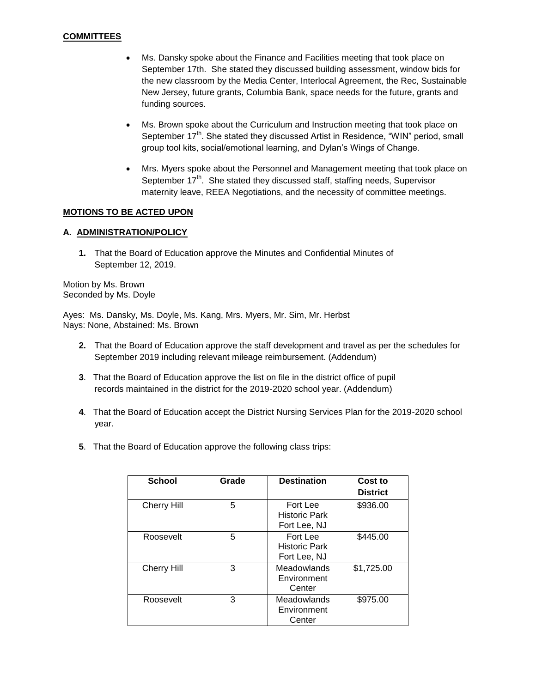- Ms. Dansky spoke about the Finance and Facilities meeting that took place on September 17th. She stated they discussed building assessment, window bids for the new classroom by the Media Center, Interlocal Agreement, the Rec, Sustainable New Jersey, future grants, Columbia Bank, space needs for the future, grants and funding sources.
- Ms. Brown spoke about the Curriculum and Instruction meeting that took place on September 17<sup>th</sup>. She stated they discussed Artist in Residence, "WIN" period, small group tool kits, social/emotional learning, and Dylan's Wings of Change.
- Mrs. Myers spoke about the Personnel and Management meeting that took place on September  $17<sup>th</sup>$ . She stated they discussed staff, staffing needs, Supervisor maternity leave, REEA Negotiations, and the necessity of committee meetings.

### **MOTIONS TO BE ACTED UPON**

#### **A. ADMINISTRATION/POLICY**

**1.** That the Board of Education approve the Minutes and Confidential Minutes of September 12, 2019.

Motion by Ms. Brown Seconded by Ms. Doyle

Ayes: Ms. Dansky, Ms. Doyle, Ms. Kang, Mrs. Myers, Mr. Sim, Mr. Herbst Nays: None, Abstained: Ms. Brown

- **2.** That the Board of Education approve the staff development and travel as per the schedules for September 2019 including relevant mileage reimbursement. (Addendum)
- **3**. That the Board of Education approve the list on file in the district office of pupil records maintained in the district for the 2019-2020 school year. (Addendum)
- **4**. That the Board of Education accept the District Nursing Services Plan for the 2019-2020 school year.
- **5**. That the Board of Education approve the following class trips:

| <b>School</b>      | Grade | <b>Destination</b>                               | Cost to<br><b>District</b> |
|--------------------|-------|--------------------------------------------------|----------------------------|
| <b>Cherry Hill</b> | 5     | Fort Lee<br><b>Historic Park</b><br>Fort Lee, NJ | \$936.00                   |
| Roosevelt          | 5     | Fort Lee<br><b>Historic Park</b><br>Fort Lee, NJ | \$445.00                   |
| Cherry Hill        | 3     | Meadowlands<br>Environment<br>Center             | \$1,725.00                 |
| Roosevelt          | 3     | Meadowlands<br>Environment<br>Center             | \$975.00                   |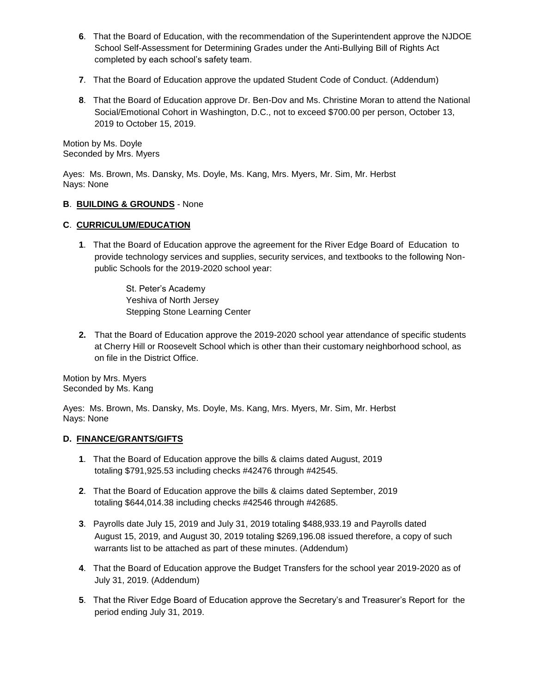- **6**. That the Board of Education, with the recommendation of the Superintendent approve the NJDOE School Self-Assessment for Determining Grades under the Anti-Bullying Bill of Rights Act completed by each school's safety team.
- **7**. That the Board of Education approve the updated Student Code of Conduct. (Addendum)
- **8**. That the Board of Education approve Dr. Ben-Dov and Ms. Christine Moran to attend the National Social/Emotional Cohort in Washington, D.C., not to exceed \$700.00 per person, October 13, 2019 to October 15, 2019.

Motion by Ms. Doyle Seconded by Mrs. Myers

Ayes: Ms. Brown, Ms. Dansky, Ms. Doyle, Ms. Kang, Mrs. Myers, Mr. Sim, Mr. Herbst Nays: None

## **B**. **BUILDING & GROUNDS** - None

### **C**. **CURRICULUM/EDUCATION**

**1**. That the Board of Education approve the agreement for the River Edge Board of Education to provide technology services and supplies, security services, and textbooks to the following Nonpublic Schools for the 2019-2020 school year:

> St. Peter's Academy Yeshiva of North Jersey Stepping Stone Learning Center

**2.** That the Board of Education approve the 2019-2020 school year attendance of specific students at Cherry Hill or Roosevelt School which is other than their customary neighborhood school, as on file in the District Office.

Motion by Mrs. Myers Seconded by Ms. Kang

Ayes: Ms. Brown, Ms. Dansky, Ms. Doyle, Ms. Kang, Mrs. Myers, Mr. Sim, Mr. Herbst Nays: None

## **D. FINANCE/GRANTS/GIFTS**

- **1**. That the Board of Education approve the bills & claims dated August, 2019 totaling \$791,925.53 including checks #42476 through #42545.
- **2**. That the Board of Education approve the bills & claims dated September, 2019 totaling \$644,014.38 including checks #42546 through #42685.
- **3**. Payrolls date July 15, 2019 and July 31, 2019 totaling \$488,933.19 and Payrolls dated August 15, 2019, and August 30, 2019 totaling \$269,196.08 issued therefore, a copy of such warrants list to be attached as part of these minutes. (Addendum)
- **4**. That the Board of Education approve the Budget Transfers for the school year 2019-2020 as of July 31, 2019. (Addendum)
- **5**. That the River Edge Board of Education approve the Secretary's and Treasurer's Report for the period ending July 31, 2019.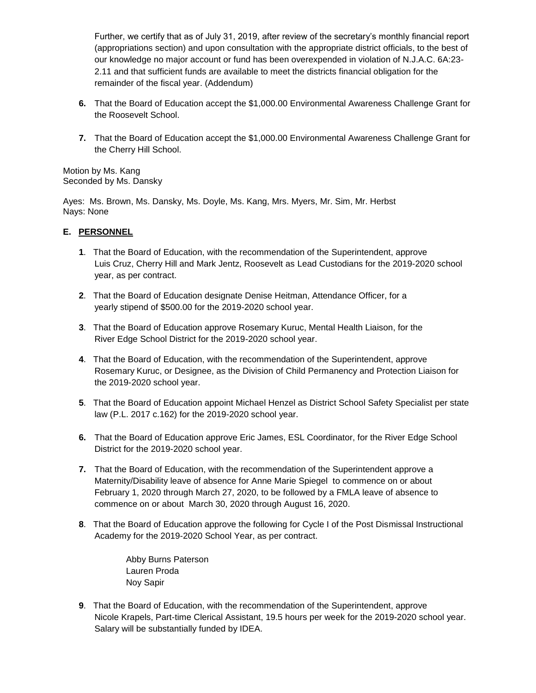Further, we certify that as of July 31, 2019, after review of the secretary's monthly financial report (appropriations section) and upon consultation with the appropriate district officials, to the best of our knowledge no major account or fund has been overexpended in violation of N.J.A.C. 6A:23- 2.11 and that sufficient funds are available to meet the districts financial obligation for the remainder of the fiscal year. (Addendum)

- **6.** That the Board of Education accept the \$1,000.00 Environmental Awareness Challenge Grant for the Roosevelt School.
- **7.** That the Board of Education accept the \$1,000.00 Environmental Awareness Challenge Grant for the Cherry Hill School.

Motion by Ms. Kang Seconded by Ms. Dansky

Ayes: Ms. Brown, Ms. Dansky, Ms. Doyle, Ms. Kang, Mrs. Myers, Mr. Sim, Mr. Herbst Nays: None

## **E. PERSONNEL**

- **1**. That the Board of Education, with the recommendation of the Superintendent, approve Luis Cruz, Cherry Hill and Mark Jentz, Roosevelt as Lead Custodians for the 2019-2020 school year, as per contract.
- **2**. That the Board of Education designate Denise Heitman, Attendance Officer, for a yearly stipend of \$500.00 for the 2019-2020 school year.
- **3**. That the Board of Education approve Rosemary Kuruc, Mental Health Liaison, for the River Edge School District for the 2019-2020 school year.
- **4**. That the Board of Education, with the recommendation of the Superintendent, approve Rosemary Kuruc, or Designee, as the Division of Child Permanency and Protection Liaison for the 2019-2020 school year.
- **5**. That the Board of Education appoint Michael Henzel as District School Safety Specialist per state law (P.L. 2017 c.162) for the 2019-2020 school year.
- **6.** That the Board of Education approve Eric James, ESL Coordinator, for the River Edge School District for the 2019-2020 school year.
- **7.** That the Board of Education, with the recommendation of the Superintendent approve a Maternity/Disability leave of absence for Anne Marie Spiegel to commence on or about February 1, 2020 through March 27, 2020, to be followed by a FMLA leave of absence to commence on or about March 30, 2020 through August 16, 2020.
- **8**. That the Board of Education approve the following for Cycle I of the Post Dismissal Instructional Academy for the 2019-2020 School Year, as per contract.

Abby Burns Paterson Lauren Proda Noy Sapir

**9**. That the Board of Education, with the recommendation of the Superintendent, approve Nicole Krapels, Part-time Clerical Assistant, 19.5 hours per week for the 2019-2020 school year. Salary will be substantially funded by IDEA.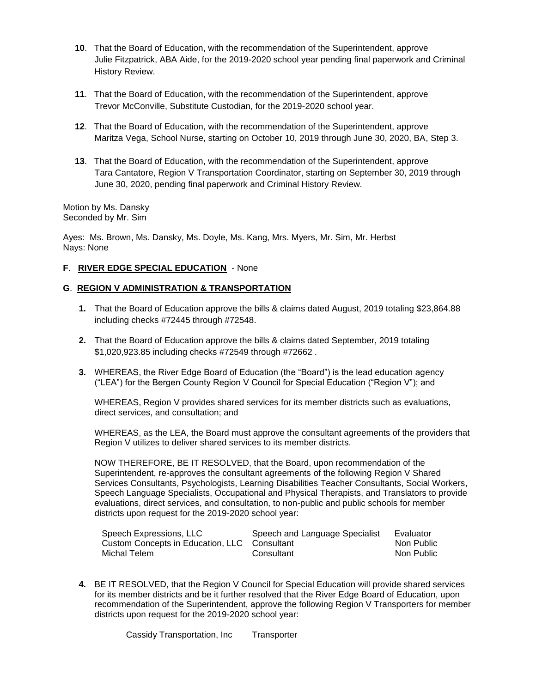- **10**. That the Board of Education, with the recommendation of the Superintendent, approve Julie Fitzpatrick, ABA Aide, for the 2019-2020 school year pending final paperwork and Criminal History Review.
- **11**. That the Board of Education, with the recommendation of the Superintendent, approve Trevor McConville, Substitute Custodian, for the 2019-2020 school year.
- **12**. That the Board of Education, with the recommendation of the Superintendent, approve Maritza Vega, School Nurse, starting on October 10, 2019 through June 30, 2020, BA, Step 3.
- **13**. That the Board of Education, with the recommendation of the Superintendent, approve Tara Cantatore, Region V Transportation Coordinator, starting on September 30, 2019 through June 30, 2020, pending final paperwork and Criminal History Review.

Motion by Ms. Dansky Seconded by Mr. Sim

Ayes: Ms. Brown, Ms. Dansky, Ms. Doyle, Ms. Kang, Mrs. Myers, Mr. Sim, Mr. Herbst Nays: None

### **F**. **RIVER EDGE SPECIAL EDUCATION** - None

### **G**. **REGION V ADMINISTRATION & TRANSPORTATION**

- **1.** That the Board of Education approve the bills & claims dated August, 2019 totaling \$23,864.88 including checks #72445 through #72548.
- **2.** That the Board of Education approve the bills & claims dated September, 2019 totaling \$1,020,923.85 including checks #72549 through #72662 .
- **3.** WHEREAS, the River Edge Board of Education (the "Board") is the lead education agency ("LEA") for the Bergen County Region V Council for Special Education ("Region V"); and

WHEREAS, Region V provides shared services for its member districts such as evaluations, direct services, and consultation; and

WHEREAS, as the LEA, the Board must approve the consultant agreements of the providers that Region V utilizes to deliver shared services to its member districts.

NOW THEREFORE, BE IT RESOLVED, that the Board, upon recommendation of the Superintendent, re-approves the consultant agreements of the following Region V Shared Services Consultants, Psychologists, Learning Disabilities Teacher Consultants, Social Workers, Speech Language Specialists, Occupational and Physical Therapists, and Translators to provide evaluations, direct services, and consultation, to non-public and public schools for member districts upon request for the 2019-2020 school year:

| Speech Expressions, LLC                      | Speech and Language Specialist | Evaluator  |
|----------------------------------------------|--------------------------------|------------|
| Custom Concepts in Education, LLC Consultant |                                | Non Public |
| Michal Telem                                 | Consultant                     | Non Public |

**4.** BE IT RESOLVED, that the Region V Council for Special Education will provide shared services for its member districts and be it further resolved that the River Edge Board of Education, upon recommendation of the Superintendent, approve the following Region V Transporters for member districts upon request for the 2019-2020 school year: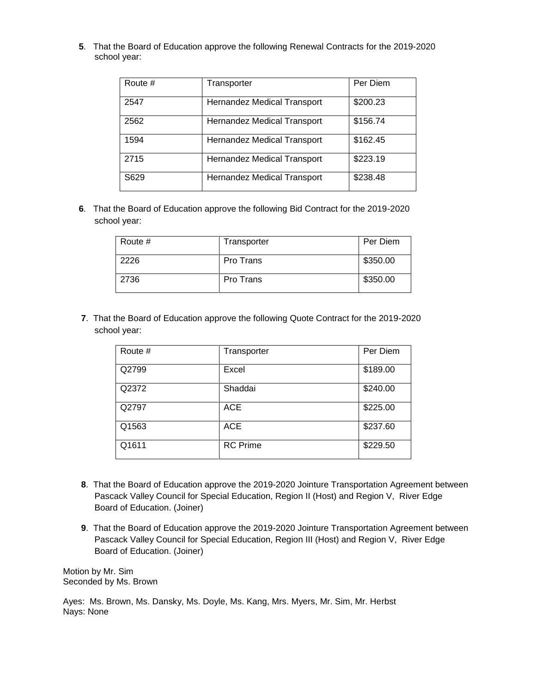**5**. That the Board of Education approve the following Renewal Contracts for the 2019-2020 school year:

| Route # | Transporter                 | Per Diem |
|---------|-----------------------------|----------|
| 2547    | Hernandez Medical Transport | \$200.23 |
| 2562    | Hernandez Medical Transport | \$156.74 |
| 1594    | Hernandez Medical Transport | \$162.45 |
| 2715    | Hernandez Medical Transport | \$223.19 |
| S629    | Hernandez Medical Transport | \$238.48 |

**6**. That the Board of Education approve the following Bid Contract for the 2019-2020 school year:

| Route # | Transporter | Per Diem |
|---------|-------------|----------|
| 2226    | Pro Trans   | \$350.00 |
| 2736    | Pro Trans   | \$350.00 |

**7**. That the Board of Education approve the following Quote Contract for the 2019-2020 school year:

| Route # | Transporter     | Per Diem |
|---------|-----------------|----------|
| Q2799   | Excel           | \$189.00 |
| Q2372   | Shaddai         | \$240.00 |
| Q2797   | <b>ACE</b>      | \$225.00 |
| Q1563   | <b>ACE</b>      | \$237.60 |
| Q1611   | <b>RC</b> Prime | \$229.50 |

- **8**. That the Board of Education approve the 2019-2020 Jointure Transportation Agreement between Pascack Valley Council for Special Education, Region II (Host) and Region V, River Edge Board of Education. (Joiner)
- **9**. That the Board of Education approve the 2019-2020 Jointure Transportation Agreement between Pascack Valley Council for Special Education, Region III (Host) and Region V, River Edge Board of Education. (Joiner)

Motion by Mr. Sim Seconded by Ms. Brown

Ayes: Ms. Brown, Ms. Dansky, Ms. Doyle, Ms. Kang, Mrs. Myers, Mr. Sim, Mr. Herbst Nays: None